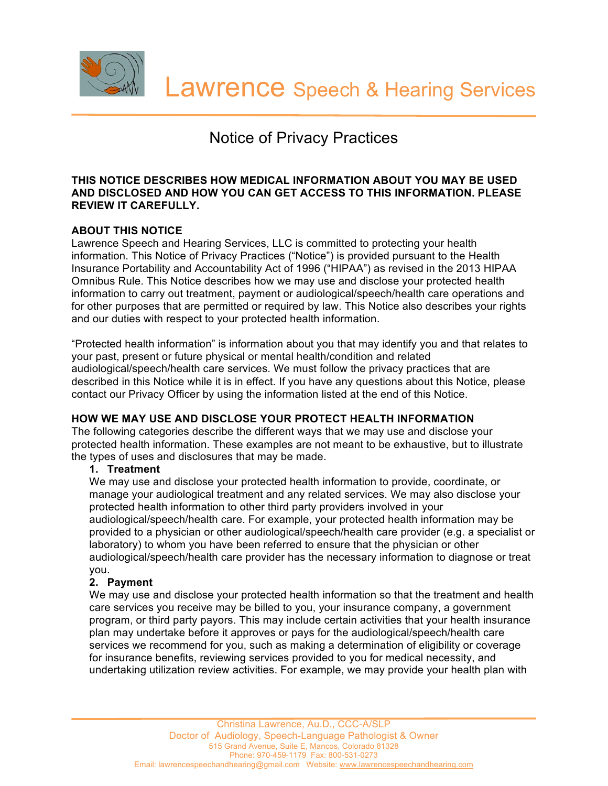

# Notice of Privacy Practices

#### **THIS NOTICE DESCRIBES HOW MEDICAL INFORMATION ABOUT YOU MAY BE USED AND DISCLOSED AND HOW YOU CAN GET ACCESS TO THIS INFORMATION. PLEASE REVIEW IT CAREFULLY.**

# **ABOUT THIS NOTICE**

Lawrence Speech and Hearing Services, LLC is committed to protecting your health information. This Notice of Privacy Practices ("Notice") is provided pursuant to the Health Insurance Portability and Accountability Act of 1996 ("HIPAA") as revised in the 2013 HIPAA Omnibus Rule. This Notice describes how we may use and disclose your protected health information to carry out treatment, payment or audiological/speech/health care operations and for other purposes that are permitted or required by law. This Notice also describes your rights and our duties with respect to your protected health information.

"Protected health information" is information about you that may identify you and that relates to your past, present or future physical or mental health/condition and related audiological/speech/health care services. We must follow the privacy practices that are described in this Notice while it is in effect. If you have any questions about this Notice, please contact our Privacy Officer by using the information listed at the end of this Notice.

# **HOW WE MAY USE AND DISCLOSE YOUR PROTECT HEALTH INFORMATION**

The following categories describe the different ways that we may use and disclose your protected health information. These examples are not meant to be exhaustive, but to illustrate the types of uses and disclosures that may be made.

# **1. Treatment**

We may use and disclose your protected health information to provide, coordinate, or manage your audiological treatment and any related services. We may also disclose your protected health information to other third party providers involved in your audiological/speech/health care. For example, your protected health information may be provided to a physician or other audiological/speech/health care provider (e.g. a specialist or laboratory) to whom you have been referred to ensure that the physician or other audiological/speech/health care provider has the necessary information to diagnose or treat you.

# **2. Payment**

We may use and disclose your protected health information so that the treatment and health care services you receive may be billed to you, your insurance company, a government program, or third party payors. This may include certain activities that your health insurance plan may undertake before it approves or pays for the audiological/speech/health care services we recommend for you, such as making a determination of eligibility or coverage for insurance benefits, reviewing services provided to you for medical necessity, and undertaking utilization review activities. For example, we may provide your health plan with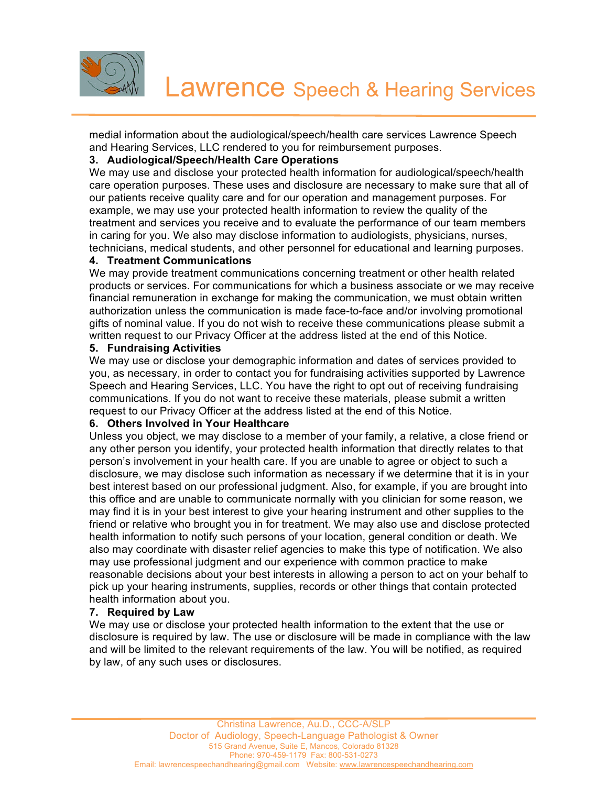

medial information about the audiological/speech/health care services Lawrence Speech and Hearing Services, LLC rendered to you for reimbursement purposes.

## **3. Audiological/Speech/Health Care Operations**

We may use and disclose your protected health information for audiological/speech/health care operation purposes. These uses and disclosure are necessary to make sure that all of our patients receive quality care and for our operation and management purposes. For example, we may use your protected health information to review the quality of the treatment and services you receive and to evaluate the performance of our team members in caring for you. We also may disclose information to audiologists, physicians, nurses, technicians, medical students, and other personnel for educational and learning purposes.

## **4. Treatment Communications**

We may provide treatment communications concerning treatment or other health related products or services. For communications for which a business associate or we may receive financial remuneration in exchange for making the communication, we must obtain written authorization unless the communication is made face-to-face and/or involving promotional gifts of nominal value. If you do not wish to receive these communications please submit a written request to our Privacy Officer at the address listed at the end of this Notice.

## **5. Fundraising Activities**

We may use or disclose your demographic information and dates of services provided to you, as necessary, in order to contact you for fundraising activities supported by Lawrence Speech and Hearing Services, LLC. You have the right to opt out of receiving fundraising communications. If you do not want to receive these materials, please submit a written request to our Privacy Officer at the address listed at the end of this Notice.

#### **6. Others Involved in Your Healthcare**

Unless you object, we may disclose to a member of your family, a relative, a close friend or any other person you identify, your protected health information that directly relates to that person's involvement in your health care. If you are unable to agree or object to such a disclosure, we may disclose such information as necessary if we determine that it is in your best interest based on our professional judgment. Also, for example, if you are brought into this office and are unable to communicate normally with you clinician for some reason, we may find it is in your best interest to give your hearing instrument and other supplies to the friend or relative who brought you in for treatment. We may also use and disclose protected health information to notify such persons of your location, general condition or death. We also may coordinate with disaster relief agencies to make this type of notification. We also may use professional judgment and our experience with common practice to make reasonable decisions about your best interests in allowing a person to act on your behalf to pick up your hearing instruments, supplies, records or other things that contain protected health information about you.

#### **7. Required by Law**

We may use or disclose your protected health information to the extent that the use or disclosure is required by law. The use or disclosure will be made in compliance with the law and will be limited to the relevant requirements of the law. You will be notified, as required by law, of any such uses or disclosures.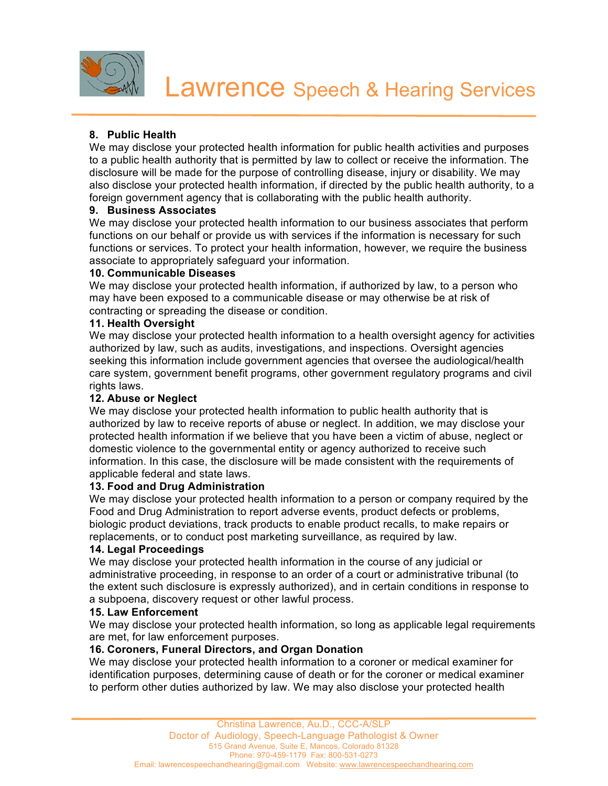

# **8. Public Health**

We may disclose your protected health information for public health activities and purposes to a public health authority that is permitted by law to collect or receive the information. The disclosure will be made for the purpose of controlling disease, injury or disability. We may also disclose your protected health information, if directed by the public health authority, to a foreign government agency that is collaborating with the public health authority.

# **9. Business Associates**

We may disclose your protected health information to our business associates that perform functions on our behalf or provide us with services if the information is necessary for such functions or services. To protect your health information, however, we require the business associate to appropriately safeguard your information.

## **10. Communicable Diseases**

We may disclose your protected health information, if authorized by law, to a person who may have been exposed to a communicable disease or may otherwise be at risk of contracting or spreading the disease or condition.

## **11. Health Oversight**

We may disclose your protected health information to a health oversight agency for activities authorized by law, such as audits, investigations, and inspections. Oversight agencies seeking this information include government agencies that oversee the audiological/health care system, government benefit programs, other government regulatory programs and civil rights laws.

# **12. Abuse or Neglect**

We may disclose your protected health information to public health authority that is authorized by law to receive reports of abuse or neglect. In addition, we may disclose your protected health information if we believe that you have been a victim of abuse, neglect or domestic violence to the governmental entity or agency authorized to receive such information. In this case, the disclosure will be made consistent with the requirements of applicable federal and state laws.

#### **13. Food and Drug Administration**

We may disclose your protected health information to a person or company required by the Food and Drug Administration to report adverse events, product defects or problems, biologic product deviations, track products to enable product recalls, to make repairs or replacements, or to conduct post marketing surveillance, as required by law.

#### **14. Legal Proceedings**

We may disclose your protected health information in the course of any judicial or administrative proceeding, in response to an order of a court or administrative tribunal (to the extent such disclosure is expressly authorized), and in certain conditions in response to a subpoena, discovery request or other lawful process.

#### **15. Law Enforcement**

We may disclose your protected health information, so long as applicable legal requirements are met, for law enforcement purposes.

#### **16. Coroners, Funeral Directors, and Organ Donation**

We may disclose your protected health information to a coroner or medical examiner for identification purposes, determining cause of death or for the coroner or medical examiner to perform other duties authorized by law. We may also disclose your protected health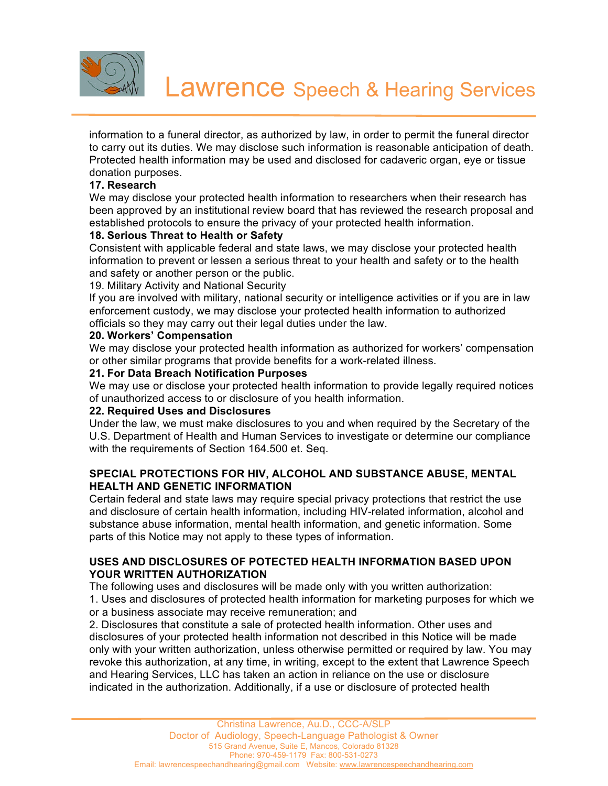

information to a funeral director, as authorized by law, in order to permit the funeral director to carry out its duties. We may disclose such information is reasonable anticipation of death. Protected health information may be used and disclosed for cadaveric organ, eye or tissue donation purposes.

## **17. Research**

We may disclose your protected health information to researchers when their research has been approved by an institutional review board that has reviewed the research proposal and established protocols to ensure the privacy of your protected health information.

# **18. Serious Threat to Health or Safety**

Consistent with applicable federal and state laws, we may disclose your protected health information to prevent or lessen a serious threat to your health and safety or to the health and safety or another person or the public.

19. Military Activity and National Security

If you are involved with military, national security or intelligence activities or if you are in law enforcement custody, we may disclose your protected health information to authorized officials so they may carry out their legal duties under the law.

## **20. Workers' Compensation**

We may disclose your protected health information as authorized for workers' compensation or other similar programs that provide benefits for a work-related illness.

## **21. For Data Breach Notification Purposes**

We may use or disclose your protected health information to provide legally required notices of unauthorized access to or disclosure of you health information.

#### **22. Required Uses and Disclosures**

Under the law, we must make disclosures to you and when required by the Secretary of the U.S. Department of Health and Human Services to investigate or determine our compliance with the requirements of Section 164.500 et. Seq.

# **SPECIAL PROTECTIONS FOR HIV, ALCOHOL AND SUBSTANCE ABUSE, MENTAL HEALTH AND GENETIC INFORMATION**

Certain federal and state laws may require special privacy protections that restrict the use and disclosure of certain health information, including HIV-related information, alcohol and substance abuse information, mental health information, and genetic information. Some parts of this Notice may not apply to these types of information.

## **USES AND DISCLOSURES OF POTECTED HEALTH INFORMATION BASED UPON YOUR WRITTEN AUTHORIZATION**

The following uses and disclosures will be made only with you written authorization: 1. Uses and disclosures of protected health information for marketing purposes for which we or a business associate may receive remuneration; and

2. Disclosures that constitute a sale of protected health information. Other uses and disclosures of your protected health information not described in this Notice will be made only with your written authorization, unless otherwise permitted or required by law. You may revoke this authorization, at any time, in writing, except to the extent that Lawrence Speech and Hearing Services, LLC has taken an action in reliance on the use or disclosure indicated in the authorization. Additionally, if a use or disclosure of protected health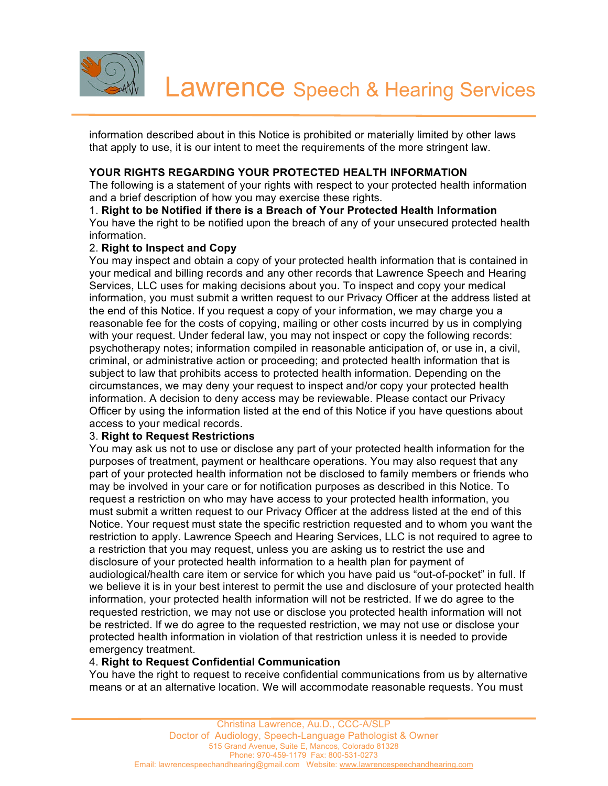

information described about in this Notice is prohibited or materially limited by other laws that apply to use, it is our intent to meet the requirements of the more stringent law.

# **YOUR RIGHTS REGARDING YOUR PROTECTED HEALTH INFORMATION**

The following is a statement of your rights with respect to your protected health information and a brief description of how you may exercise these rights.

1. **Right to be Notified if there is a Breach of Your Protected Health Information** You have the right to be notified upon the breach of any of your unsecured protected health information.

## 2. **Right to Inspect and Copy**

You may inspect and obtain a copy of your protected health information that is contained in your medical and billing records and any other records that Lawrence Speech and Hearing Services, LLC uses for making decisions about you. To inspect and copy your medical information, you must submit a written request to our Privacy Officer at the address listed at the end of this Notice. If you request a copy of your information, we may charge you a reasonable fee for the costs of copying, mailing or other costs incurred by us in complying with your request. Under federal law, you may not inspect or copy the following records: psychotherapy notes; information compiled in reasonable anticipation of, or use in, a civil, criminal, or administrative action or proceeding; and protected health information that is subject to law that prohibits access to protected health information. Depending on the circumstances, we may deny your request to inspect and/or copy your protected health information. A decision to deny access may be reviewable. Please contact our Privacy Officer by using the information listed at the end of this Notice if you have questions about access to your medical records.

#### 3. **Right to Request Restrictions**

You may ask us not to use or disclose any part of your protected health information for the purposes of treatment, payment or healthcare operations. You may also request that any part of your protected health information not be disclosed to family members or friends who may be involved in your care or for notification purposes as described in this Notice. To request a restriction on who may have access to your protected health information, you must submit a written request to our Privacy Officer at the address listed at the end of this Notice. Your request must state the specific restriction requested and to whom you want the restriction to apply. Lawrence Speech and Hearing Services, LLC is not required to agree to a restriction that you may request, unless you are asking us to restrict the use and disclosure of your protected health information to a health plan for payment of audiological/health care item or service for which you have paid us "out-of-pocket" in full. If we believe it is in your best interest to permit the use and disclosure of your protected health information, your protected health information will not be restricted. If we do agree to the requested restriction, we may not use or disclose you protected health information will not be restricted. If we do agree to the requested restriction, we may not use or disclose your protected health information in violation of that restriction unless it is needed to provide emergency treatment.

# 4. **Right to Request Confidential Communication**

You have the right to request to receive confidential communications from us by alternative means or at an alternative location. We will accommodate reasonable requests. You must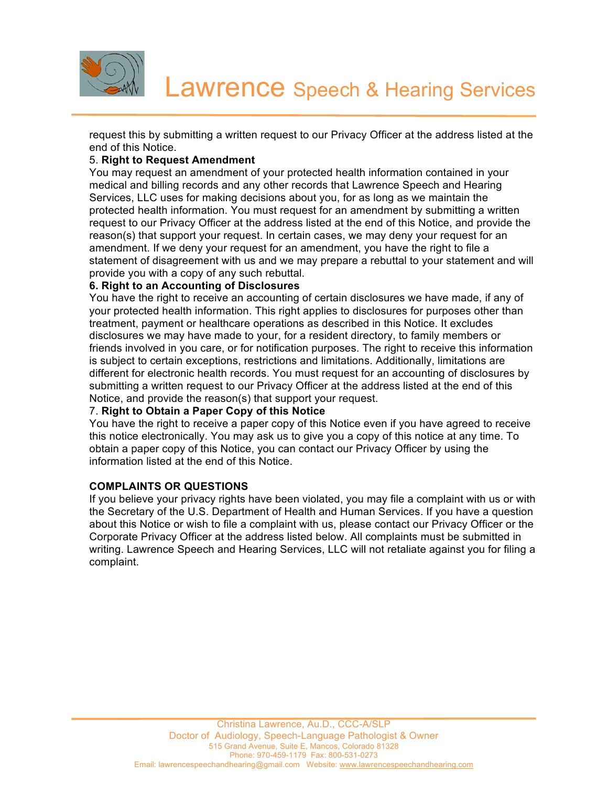

request this by submitting a written request to our Privacy Officer at the address listed at the end of this Notice.

# 5. **Right to Request Amendment**

You may request an amendment of your protected health information contained in your medical and billing records and any other records that Lawrence Speech and Hearing Services, LLC uses for making decisions about you, for as long as we maintain the protected health information. You must request for an amendment by submitting a written request to our Privacy Officer at the address listed at the end of this Notice, and provide the reason(s) that support your request. In certain cases, we may deny your request for an amendment. If we deny your request for an amendment, you have the right to file a statement of disagreement with us and we may prepare a rebuttal to your statement and will provide you with a copy of any such rebuttal.

## **6. Right to an Accounting of Disclosures**

You have the right to receive an accounting of certain disclosures we have made, if any of your protected health information. This right applies to disclosures for purposes other than treatment, payment or healthcare operations as described in this Notice. It excludes disclosures we may have made to your, for a resident directory, to family members or friends involved in you care, or for notification purposes. The right to receive this information is subject to certain exceptions, restrictions and limitations. Additionally, limitations are different for electronic health records. You must request for an accounting of disclosures by submitting a written request to our Privacy Officer at the address listed at the end of this Notice, and provide the reason(s) that support your request.

#### 7. **Right to Obtain a Paper Copy of this Notice**

You have the right to receive a paper copy of this Notice even if you have agreed to receive this notice electronically. You may ask us to give you a copy of this notice at any time. To obtain a paper copy of this Notice, you can contact our Privacy Officer by using the information listed at the end of this Notice.

#### **COMPLAINTS OR QUESTIONS**

If you believe your privacy rights have been violated, you may file a complaint with us or with the Secretary of the U.S. Department of Health and Human Services. If you have a question about this Notice or wish to file a complaint with us, please contact our Privacy Officer or the Corporate Privacy Officer at the address listed below. All complaints must be submitted in writing. Lawrence Speech and Hearing Services, LLC will not retaliate against you for filing a complaint.